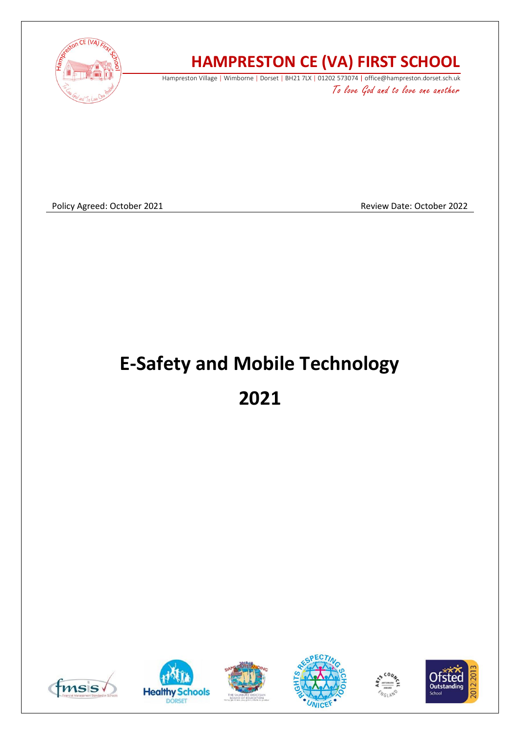

# **HAMPRESTON CE (VA) FIRST SCHOOL**

Hampreston Village | Wimborne | Dorset | BH21 7LX | 01202 573074 | office@hampreston.dorset.sch.uk

To love God and to love one another

Policy Agreed: October 2021 **Review Date: October 2022** Review Date: October 2022

# **E-Safety and Mobile Technology**

**2021**











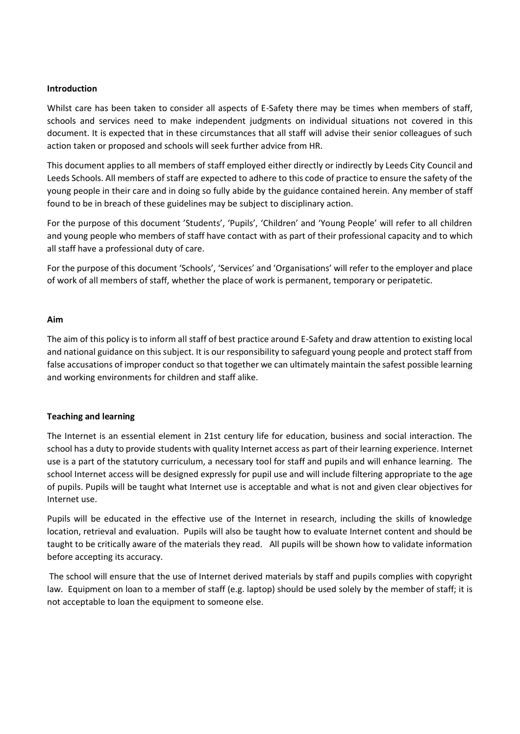#### **Introduction**

Whilst care has been taken to consider all aspects of E-Safety there may be times when members of staff, schools and services need to make independent judgments on individual situations not covered in this document. It is expected that in these circumstances that all staff will advise their senior colleagues of such action taken or proposed and schools will seek further advice from HR.

This document applies to all members of staff employed either directly or indirectly by Leeds City Council and Leeds Schools. All members of staff are expected to adhere to this code of practice to ensure the safety of the young people in their care and in doing so fully abide by the guidance contained herein. Any member of staff found to be in breach of these guidelines may be subject to disciplinary action.

For the purpose of this document 'Students', 'Pupils', 'Children' and 'Young People' will refer to all children and young people who members of staff have contact with as part of their professional capacity and to which all staff have a professional duty of care.

For the purpose of this document 'Schools', 'Services' and 'Organisations' will refer to the employer and place of work of all members of staff, whether the place of work is permanent, temporary or peripatetic.

#### **Aim**

The aim of this policy is to inform all staff of best practice around E-Safety and draw attention to existing local and national guidance on this subject. It is our responsibility to safeguard young people and protect staff from false accusations of improper conduct so that together we can ultimately maintain the safest possible learning and working environments for children and staff alike.

# **Teaching and learning**

The Internet is an essential element in 21st century life for education, business and social interaction. The school has a duty to provide students with quality Internet access as part of their learning experience. Internet use is a part of the statutory curriculum, a necessary tool for staff and pupils and will enhance learning. The school Internet access will be designed expressly for pupil use and will include filtering appropriate to the age of pupils. Pupils will be taught what Internet use is acceptable and what is not and given clear objectives for Internet use.

Pupils will be educated in the effective use of the Internet in research, including the skills of knowledge location, retrieval and evaluation. Pupils will also be taught how to evaluate Internet content and should be taught to be critically aware of the materials they read. All pupils will be shown how to validate information before accepting its accuracy.

The school will ensure that the use of Internet derived materials by staff and pupils complies with copyright law. Equipment on loan to a member of staff (e.g. laptop) should be used solely by the member of staff; it is not acceptable to loan the equipment to someone else.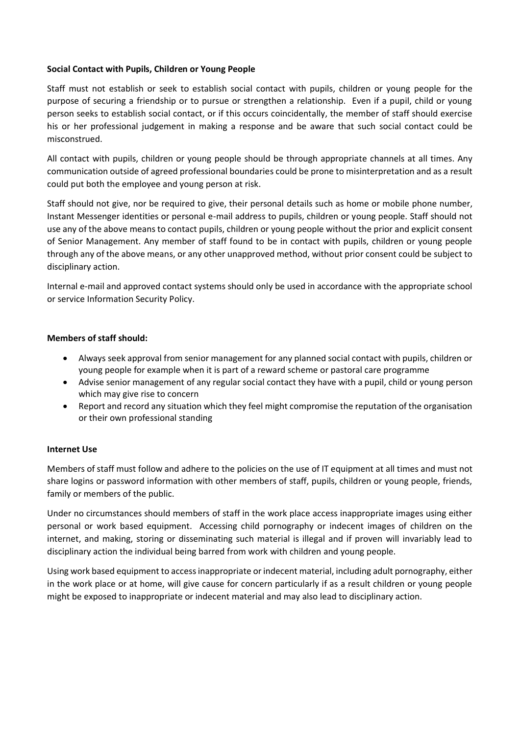# **Social Contact with Pupils, Children or Young People**

Staff must not establish or seek to establish social contact with pupils, children or young people for the purpose of securing a friendship or to pursue or strengthen a relationship. Even if a pupil, child or young person seeks to establish social contact, or if this occurs coincidentally, the member of staff should exercise his or her professional judgement in making a response and be aware that such social contact could be misconstrued.

All contact with pupils, children or young people should be through appropriate channels at all times. Any communication outside of agreed professional boundaries could be prone to misinterpretation and as a result could put both the employee and young person at risk.

Staff should not give, nor be required to give, their personal details such as home or mobile phone number, Instant Messenger identities or personal e-mail address to pupils, children or young people. Staff should not use any of the above means to contact pupils, children or young people without the prior and explicit consent of Senior Management. Any member of staff found to be in contact with pupils, children or young people through any of the above means, or any other unapproved method, without prior consent could be subject to disciplinary action.

Internal e-mail and approved contact systems should only be used in accordance with the appropriate school or service Information Security Policy.

# **Members of staff should:**

- Always seek approval from senior management for any planned social contact with pupils, children or young people for example when it is part of a reward scheme or pastoral care programme
- Advise senior management of any regular social contact they have with a pupil, child or young person which may give rise to concern
- Report and record any situation which they feel might compromise the reputation of the organisation or their own professional standing

# **Internet Use**

Members of staff must follow and adhere to the policies on the use of IT equipment at all times and must not share logins or password information with other members of staff, pupils, children or young people, friends, family or members of the public.

Under no circumstances should members of staff in the work place access inappropriate images using either personal or work based equipment. Accessing child pornography or indecent images of children on the internet, and making, storing or disseminating such material is illegal and if proven will invariably lead to disciplinary action the individual being barred from work with children and young people.

Using work based equipment to access inappropriate or indecent material, including adult pornography, either in the work place or at home, will give cause for concern particularly if as a result children or young people might be exposed to inappropriate or indecent material and may also lead to disciplinary action.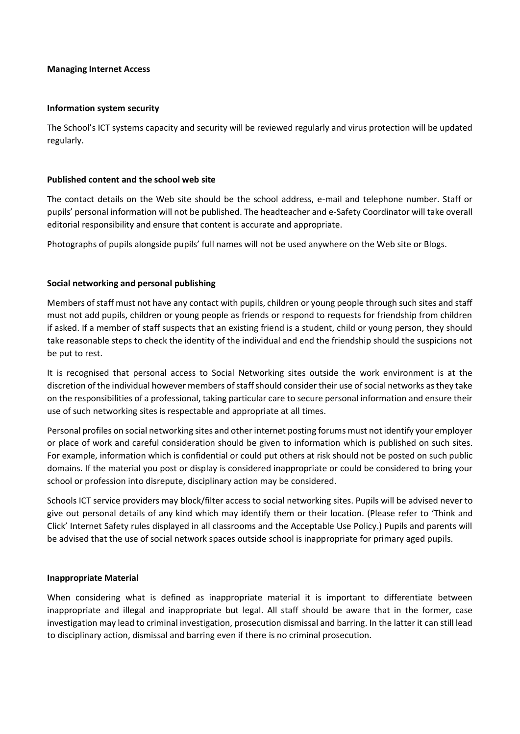#### **Managing Internet Access**

#### **Information system security**

The School's ICT systems capacity and security will be reviewed regularly and virus protection will be updated regularly.

#### **Published content and the school web site**

The contact details on the Web site should be the school address, e-mail and telephone number. Staff or pupils' personal information will not be published. The headteacher and e-Safety Coordinator will take overall editorial responsibility and ensure that content is accurate and appropriate.

Photographs of pupils alongside pupils' full names will not be used anywhere on the Web site or Blogs.

# **Social networking and personal publishing**

Members of staff must not have any contact with pupils, children or young people through such sites and staff must not add pupils, children or young people as friends or respond to requests for friendship from children if asked. If a member of staff suspects that an existing friend is a student, child or young person, they should take reasonable steps to check the identity of the individual and end the friendship should the suspicions not be put to rest.

It is recognised that personal access to Social Networking sites outside the work environment is at the discretion of the individual however members of staff should consider their use of social networks as they take on the responsibilities of a professional, taking particular care to secure personal information and ensure their use of such networking sites is respectable and appropriate at all times.

Personal profiles on social networking sites and other internet posting forums must not identify your employer or place of work and careful consideration should be given to information which is published on such sites. For example, information which is confidential or could put others at risk should not be posted on such public domains. If the material you post or display is considered inappropriate or could be considered to bring your school or profession into disrepute, disciplinary action may be considered.

Schools ICT service providers may block/filter access to social networking sites. Pupils will be advised never to give out personal details of any kind which may identify them or their location. (Please refer to 'Think and Click' Internet Safety rules displayed in all classrooms and the Acceptable Use Policy.) Pupils and parents will be advised that the use of social network spaces outside school is inappropriate for primary aged pupils.

# **Inappropriate Material**

When considering what is defined as inappropriate material it is important to differentiate between inappropriate and illegal and inappropriate but legal. All staff should be aware that in the former, case investigation may lead to criminal investigation, prosecution dismissal and barring. In the latter it can still lead to disciplinary action, dismissal and barring even if there is no criminal prosecution.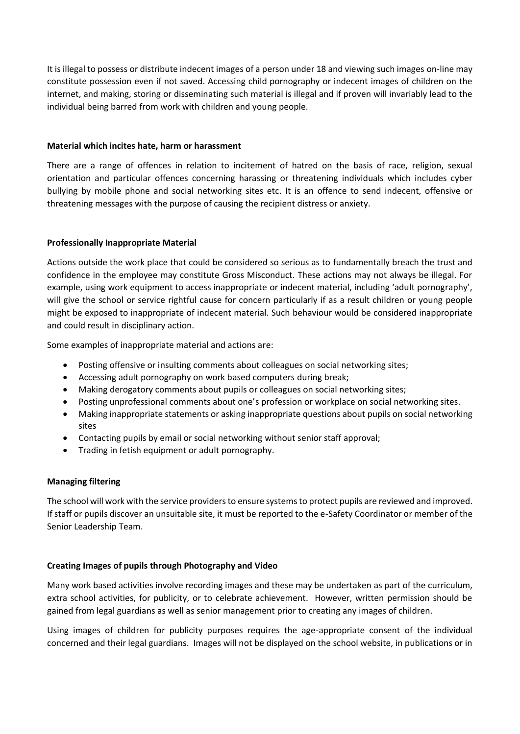It is illegal to possess or distribute indecent images of a person under 18 and viewing such images on-line may constitute possession even if not saved. Accessing child pornography or indecent images of children on the internet, and making, storing or disseminating such material is illegal and if proven will invariably lead to the individual being barred from work with children and young people.

# **Material which incites hate, harm or harassment**

There are a range of offences in relation to incitement of hatred on the basis of race, religion, sexual orientation and particular offences concerning harassing or threatening individuals which includes cyber bullying by mobile phone and social networking sites etc. It is an offence to send indecent, offensive or threatening messages with the purpose of causing the recipient distress or anxiety.

# **Professionally Inappropriate Material**

Actions outside the work place that could be considered so serious as to fundamentally breach the trust and confidence in the employee may constitute Gross Misconduct. These actions may not always be illegal. For example, using work equipment to access inappropriate or indecent material, including 'adult pornography', will give the school or service rightful cause for concern particularly if as a result children or young people might be exposed to inappropriate of indecent material. Such behaviour would be considered inappropriate and could result in disciplinary action.

Some examples of inappropriate material and actions are:

- Posting offensive or insulting comments about colleagues on social networking sites;
- Accessing adult pornography on work based computers during break;
- Making derogatory comments about pupils or colleagues on social networking sites;
- Posting unprofessional comments about one's profession or workplace on social networking sites.
- Making inappropriate statements or asking inappropriate questions about pupils on social networking sites
- Contacting pupils by email or social networking without senior staff approval;
- Trading in fetish equipment or adult pornography.

# **Managing filtering**

The school will work with the service providers to ensure systems to protect pupils are reviewed and improved. If staff or pupils discover an unsuitable site, it must be reported to the e-Safety Coordinator or member of the Senior Leadership Team.

# **Creating Images of pupils through Photography and Video**

Many work based activities involve recording images and these may be undertaken as part of the curriculum, extra school activities, for publicity, or to celebrate achievement. However, written permission should be gained from legal guardians as well as senior management prior to creating any images of children.

Using images of children for publicity purposes requires the age-appropriate consent of the individual concerned and their legal guardians. Images will not be displayed on the school website, in publications or in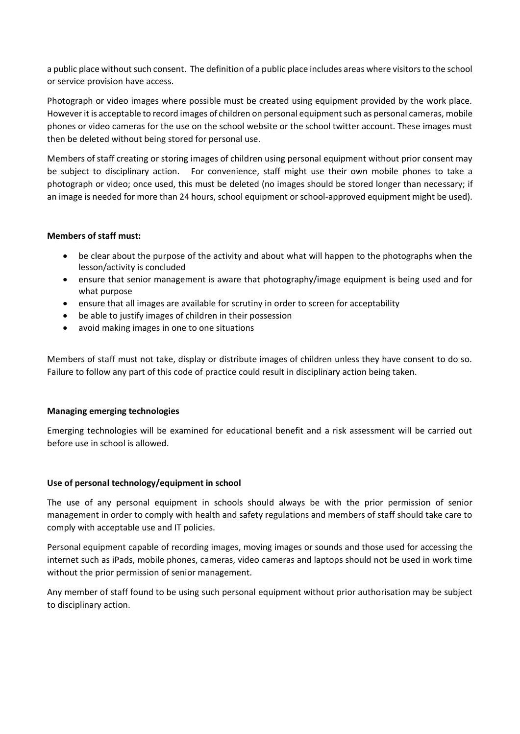a public place without such consent. The definition of a public place includes areas where visitors to the school or service provision have access.

Photograph or video images where possible must be created using equipment provided by the work place. However it is acceptable to record images of children on personal equipment such as personal cameras, mobile phones or video cameras for the use on the school website or the school twitter account. These images must then be deleted without being stored for personal use.

Members of staff creating or storing images of children using personal equipment without prior consent may be subject to disciplinary action. For convenience, staff might use their own mobile phones to take a photograph or video; once used, this must be deleted (no images should be stored longer than necessary; if an image is needed for more than 24 hours, school equipment or school-approved equipment might be used).

# **Members of staff must:**

- be clear about the purpose of the activity and about what will happen to the photographs when the lesson/activity is concluded
- ensure that senior management is aware that photography/image equipment is being used and for what purpose
- ensure that all images are available for scrutiny in order to screen for acceptability
- be able to justify images of children in their possession
- avoid making images in one to one situations

Members of staff must not take, display or distribute images of children unless they have consent to do so. Failure to follow any part of this code of practice could result in disciplinary action being taken.

# **Managing emerging technologies**

Emerging technologies will be examined for educational benefit and a risk assessment will be carried out before use in school is allowed.

# **Use of personal technology/equipment in school**

The use of any personal equipment in schools should always be with the prior permission of senior management in order to comply with health and safety regulations and members of staff should take care to comply with acceptable use and IT policies.

Personal equipment capable of recording images, moving images or sounds and those used for accessing the internet such as iPads, mobile phones, cameras, video cameras and laptops should not be used in work time without the prior permission of senior management.

Any member of staff found to be using such personal equipment without prior authorisation may be subject to disciplinary action.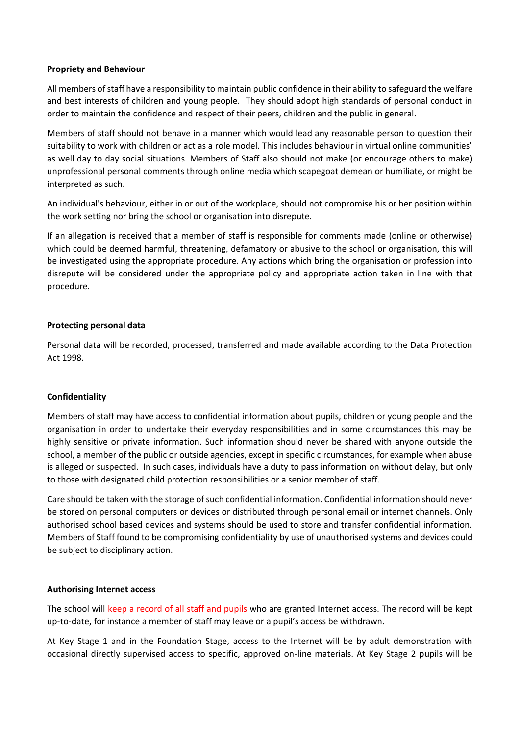# **Propriety and Behaviour**

All members of staff have a responsibility to maintain public confidence in their ability to safeguard the welfare and best interests of children and young people. They should adopt high standards of personal conduct in order to maintain the confidence and respect of their peers, children and the public in general.

Members of staff should not behave in a manner which would lead any reasonable person to question their suitability to work with children or act as a role model. This includes behaviour in virtual online communities' as well day to day social situations. Members of Staff also should not make (or encourage others to make) unprofessional personal comments through online media which scapegoat demean or humiliate, or might be interpreted as such.

An individual's behaviour, either in or out of the workplace, should not compromise his or her position within the work setting nor bring the school or organisation into disrepute.

If an allegation is received that a member of staff is responsible for comments made (online or otherwise) which could be deemed harmful, threatening, defamatory or abusive to the school or organisation, this will be investigated using the appropriate procedure. Any actions which bring the organisation or profession into disrepute will be considered under the appropriate policy and appropriate action taken in line with that procedure.

# **Protecting personal data**

Personal data will be recorded, processed, transferred and made available according to the Data Protection Act 1998.

# **Confidentiality**

Members of staff may have access to confidential information about pupils, children or young people and the organisation in order to undertake their everyday responsibilities and in some circumstances this may be highly sensitive or private information. Such information should never be shared with anyone outside the school, a member of the public or outside agencies, except in specific circumstances, for example when abuse is alleged or suspected. In such cases, individuals have a duty to pass information on without delay, but only to those with designated child protection responsibilities or a senior member of staff.

Care should be taken with the storage of such confidential information. Confidential information should never be stored on personal computers or devices or distributed through personal email or internet channels. Only authorised school based devices and systems should be used to store and transfer confidential information. Members of Staff found to be compromising confidentiality by use of unauthorised systems and devices could be subject to disciplinary action.

# **Authorising Internet access**

The school will keep a record of all staff and pupils who are granted Internet access. The record will be kept up-to-date, for instance a member of staff may leave or a pupil's access be withdrawn.

At Key Stage 1 and in the Foundation Stage, access to the Internet will be by adult demonstration with occasional directly supervised access to specific, approved on-line materials. At Key Stage 2 pupils will be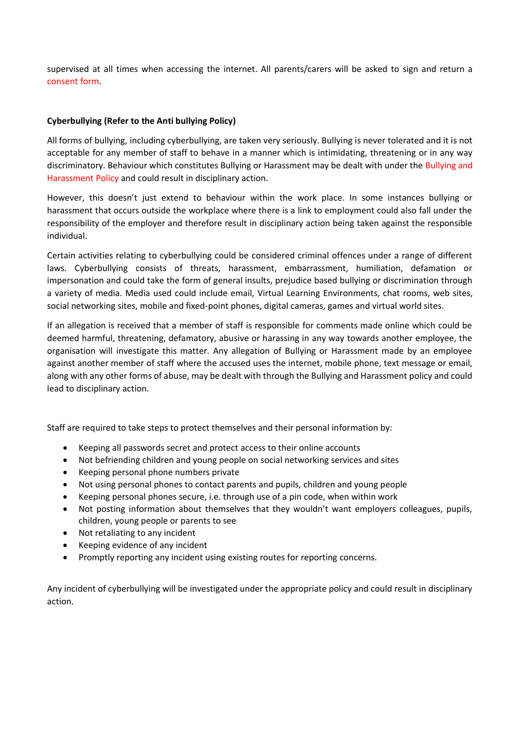supervised at all times when accessing the internet. All parents/carers will be asked to sign and return a consent form.

# **Cyberbullying (Refer to the Anti bullying Policy)**

All forms of bullying, including cyberbullying, are taken very seriously. Bullying is never tolerated and it is not acceptable for any member of staff to behave in a manner which is intimidating, threatening or in any way discriminatory. Behaviour which constitutes Bullying or Harassment may be dealt with under the Bullying and Harassment Policy and could result in disciplinary action.

However, this doesn't just extend to behaviour within the work place. In some instances bullying or harassment that occurs outside the workplace where there is a link to employment could also fall under the responsibility of the employer and therefore result in disciplinary action being taken against the responsible individual.

Certain activities relating to cyberbullying could be considered criminal offences under a range of different laws. Cyberbullying consists of threats, harassment, embarrassment, humiliation, defamation or impersonation and could take the form of general insults, prejudice based bullying or discrimination through a variety of media. Media used could include email, Virtual Learning Environments, chat rooms, web sites, social networking sites, mobile and fixed-point phones, digital cameras, games and virtual world sites.

If an allegation is received that a member of staff is responsible for comments made online which could be deemed harmful, threatening, defamatory, abusive or harassing in any way towards another employee, the organisation will investigate this matter. Any allegation of Bullying or Harassment made by an employee against another member of staff where the accused uses the internet, mobile phone, text message or email, along with any other forms of abuse, may be dealt with through the Bullying and Harassment policy and could lead to disciplinary action.

Staff are required to take steps to protect themselves and their personal information by:

- Keeping all passwords secret and protect access to their online accounts
- Not befriending children and young people on social networking services and sites
- Keeping personal phone numbers private
- Not using personal phones to contact parents and pupils, children and young people
- Keeping personal phones secure, i.e. through use of a pin code, when within work
- Not posting information about themselves that they wouldn't want employers colleagues, pupils, children, young people or parents to see
- Not retaliating to any incident
- Keeping evidence of any incident
- Promptly reporting any incident using existing routes for reporting concerns.

Any incident of cyberbullying will be investigated under the appropriate policy and could result in disciplinary action.